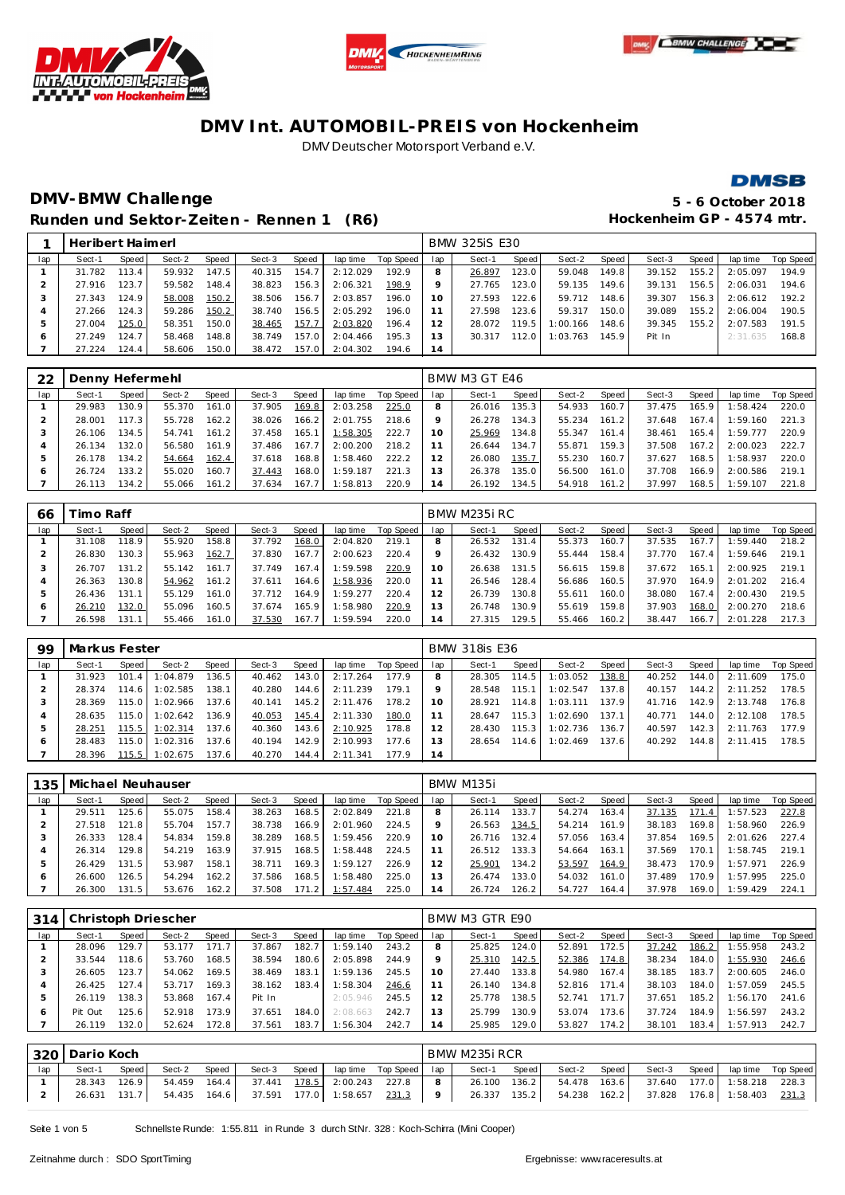







## **DMV-BMW Challenge 5 - 6 October 2018** Runden und Sektor-Zeiten - Rennen 1 (R6) **Hockenheim GP** - 4574 mtr.

|     | Heribert Haimerl |       |        |       |        |       |          |           |     | <b>BMW 325iS E30</b> |       |          |        |        |       |          |           |
|-----|------------------|-------|--------|-------|--------|-------|----------|-----------|-----|----------------------|-------|----------|--------|--------|-------|----------|-----------|
| lap | Sect-1           | Speed | Sect-2 | Speed | Sect-3 | Speed | lap time | Top Speed | lap | Sect-1               | Speed | Sect-2   | Speed  | Sect-3 | Speed | lap time | Top Speed |
|     | 31.782           | 113.4 | 59.932 | 147.5 | 40.315 | 154.7 | 2:12.029 | 192.9     | 8   | 26.897               | 123.0 | 59.048   | 149.8  | 39.152 | 155.2 | 2:05.097 | 194.9     |
|     | 27.916           | 123.7 | 59.582 | 148.4 | 38.823 | 156.3 | 2:06.321 | 198.9     |     | 27.765               | 123.0 | 59.135   | 149.6  | 39.131 | 156.5 | 2:06.031 | 194.6     |
|     | 27.343           | 124.9 | 58.008 | 150.2 | 38.506 | 156.7 | 2:03.857 | 196.0     | 10  | 27.593               | 122.6 | 59.712   | 148.61 | 39.307 | 156.3 | 2:06.612 | 192.2     |
|     | 27.266           | 124.3 | 59.286 | 150.2 | 38.740 | 156.5 | 2:05.292 | 196.0     |     | 27.598               | 123.6 | 59.317   | 150.0  | 39.089 | 155.2 | 2:06.004 | 190.5     |
|     | 27.004           | 125.0 | 58.351 | 150.0 | 38.465 | 157.7 | 2:03.820 | 196.4     |     | 28.072               | 119.5 | 1:00.166 | 148.6  | 39.345 | 155.2 | 2:07.583 | 191.5     |
| Ô   | 27.249           | 124.7 | 58.468 | 148.8 | 38.749 | 157.0 | 2:04.466 | 195.3     |     | 30.317               | 112.0 | 1:03.763 | 145.9  | Pit In |       | 2:31.635 | 168.8     |
|     | 27.224           | 124.4 | 58.606 | 150.0 | 38.472 | 157.0 | 2:04.302 | 194.6     | 14  |                      |       |          |        |        |       |          |           |

| -22     | Denny Hefermehl |       |        |       |        |       |          |           |     | BMW M3 GT E46 |       |        |       |        |       |          |           |
|---------|-----------------|-------|--------|-------|--------|-------|----------|-----------|-----|---------------|-------|--------|-------|--------|-------|----------|-----------|
| lap     | Sect-1          | Speed | Sect-2 | Speed | Sect-3 | Speed | lap time | Top Speed | lap | Sect-1        | Speed | Sect-2 | Speed | Sect-3 | Speed | lap time | Top Speed |
|         | 29.983          | 130.9 | 55.370 | 161.0 | 37.905 | 169.8 | 2:03.258 | 225.0     | 8   | 26.016        | 135.3 | 54.933 | 160.7 | 37.475 | 165.9 | 1:58.424 | 220.0     |
|         | 28.001          | 17.3  | 55.728 | 162.2 | 38.026 | 166.2 | 2:01.755 | 218.6     |     | 26.278        | 134.3 | 55.234 | 161.2 | 37.648 | 167.4 | 1:59.160 | 221.3     |
|         | 26.106          | 134.5 | 54.741 | 161.2 | 37.458 | 165.1 | 1:58.305 | 222.7     | 10  | 25.969        | 134.8 | 55.347 | 161.4 | 38.461 | 165.4 | 1:59.777 | 220.9     |
|         | 26.134          | 132.0 | 56.580 | 161.9 | 37.486 | 167.7 | 2:00.200 | 218.2     |     | 26.644        | 134.7 | 55.871 | 159.3 | 37.508 | 167.2 | 2:00.023 | 222.7     |
|         | 26.178          | 134.2 | 54.664 | 162.4 | 37.618 | 168.8 | :58.460  | 222.2     |     | 26.080        | 135.7 | 55.230 | 160.7 | 37.627 | 168.5 | 1:58.937 | 220.0     |
| $\circ$ | 26.724          | 133.2 | 55.020 | 160.7 | 37.443 | 168.0 | 1:59.187 | 221.3     | 3   | 26.378        | 135.0 | 56.500 | 161.0 | 37.708 | 166.9 | 2:00.586 | 219.1     |
|         | 26.113          | 134.2 | 55.066 | 161.2 | 37.634 | 167.7 | 1:58.813 | 220.9     | 4   | 26.192        | 134.5 | 54.918 | 161.2 | 37.997 | 168.5 | 1:59.107 | 221.8     |

| 66  | ⊺imo Raff |       |        |       |        |        |          |           |     | BMW M235i RC |                    |        |       |        |       |          |           |
|-----|-----------|-------|--------|-------|--------|--------|----------|-----------|-----|--------------|--------------------|--------|-------|--------|-------|----------|-----------|
| lap | Sect-1    | Speed | Sect-2 | Speed | Sect-3 | Speed  | lap time | Top Speed | lap | Sect-1       | Speed              | Sect-2 | Speed | Sect-3 | Speed | lap time | Top Speed |
|     | 31.108    | 18.9  | 55.920 | 158.8 | 37.792 | 168.0  | 2:04.820 | 219.1     |     | 26.532       | 131.4              | 55.373 | 160.7 | 37.535 | 167.7 | :59.440  | 218.2     |
|     | 26.830    | 130.3 | 55.963 | 162.7 | 37.830 | 167.7  | 2:00.623 | 220.4     |     | 26.432       | 130.9              | 55.444 | 158.4 | 37.770 | 167.4 | :59.646  | 219.1     |
|     | 26.707    | 131.2 | 55.142 | 161.7 | 37.749 | 167.4  | 1:59.598 | 220.9     | 10  | 26.638       | 131.5              | 56.615 | 159.8 | 37.672 | 165.7 | 2:00.925 | 219.1     |
| 4   | 26.363    | 130.8 | 54.962 | 161.2 | 37.611 | 164.6  | 1:58.936 | 220.0     |     | 26.546       | 128.4              | 56.686 | 160.5 | 37.970 | 164.9 | 2:01.202 | 216.4     |
| 5   | 26.436    | 131.1 | 55.129 | 161.0 | 37.712 | 164.9  | 1:59.277 | 220.4     |     | 26.739       | 130.8 <sub>1</sub> | 55.611 | 160.0 | 38.080 | 167.4 | 2:00.430 | 219.5     |
| O   | 26.210    | 132.0 | 55.096 | 160.5 | 37.674 | 165.91 | :58.980  | 220.9     | 13  | 26.748       | 130.9              | 55.619 | 159.8 | 37.903 | 168.0 | 2:00.270 | 218.6     |
|     | 26.598    | 131.1 | 55.466 | 161.0 | 37.530 | 167.7  | 1:59.594 | 220.0     | 14  | 27.315       | 129.5              | 55.466 | 160.2 | 38.447 | 166.7 | 2:01.228 | 217.3     |

| 99  | Markus Fester |       |          |       |        |       |          |           |     | <b>BMW 318is E36</b> |       |          |       |        |       |          |           |
|-----|---------------|-------|----------|-------|--------|-------|----------|-----------|-----|----------------------|-------|----------|-------|--------|-------|----------|-----------|
| lap | Sect-1        | Speed | Sect-2   | Speed | Sect-3 | Speed | lap time | Top Speed | lap | Sect-1               | Speed | Sect-2   | Speed | Sect-3 | Speed | lap time | Top Speed |
|     | 31.923        | 101.4 | 1:04.879 | 136.5 | 40.462 | 143.0 | 2:17.264 | 177.9     |     | 28.305               | 114.5 | 1:03.052 | 138.8 | 40.252 | 144.0 | 2:11.609 | 175.0     |
|     | 28.374        | 114.6 | 1:02.585 | 138.1 | 40.280 | 144.6 | 2:11.239 | 179.1     |     | 28.548               | 115.1 | 1:02.547 | 137.8 | 40.157 | 144.2 | 2:11.252 | 178.5     |
|     | 28.369        | 115.0 | 1:02.966 | 137.6 | 40.141 | 145.2 | 2:11.476 | 178.2     | 10  | 28.921               | 114.8 | 1:03.111 | 137.9 | 41.716 | 142.9 | 2:13.748 | 176.8     |
|     | 28.635        | 115.0 | 1:02.642 | 136.9 | 40.053 | 145.4 | 2:11.330 | 180.0     |     | 28.647               | 115.3 | 1:02.690 | 137.1 | 40.771 | 144.0 | 2:12.108 | 178.5     |
|     | 28.251        | 115.5 | 1:02.314 | 137.6 | 40.360 | 143.6 | 2:10.925 | 178.8     |     | 28.430               | 115.3 | 1:02.736 | 136.7 | 40.597 | 142.3 | 2:11.763 | 177.9     |
| O   | 28.483        | 115.0 | 1:02.316 | 137.6 | 40.194 | 142.9 | 2:10.993 | 177.6     |     | 28.654               | 114.6 | 1:02.469 | 137.6 | 40.292 | 144.8 | 2:11.415 | 178.5     |
|     | 28.396        | 115.5 | 1:02.675 | 137.6 | 40.270 | 144.4 | 2:11.341 | 177.9     | 14  |                      |       |          |       |        |       |          |           |

| 135. | Michael Neuhauser |       |        |              |        |        |          |           |     | BMW M135i |       |        |        |        |       |          |           |
|------|-------------------|-------|--------|--------------|--------|--------|----------|-----------|-----|-----------|-------|--------|--------|--------|-------|----------|-----------|
| lap  | Sect-1            | Speed | Sect-2 | <b>Speed</b> | Sect-3 | Speed  | lap time | Top Speed | lap | Sect-1    | Speed | Sect-2 | Speed  | Sect-3 | Speed | lap time | Top Speed |
|      | 29.511            | 125.6 | 55.075 | 158.4        | 38.263 | 168.5  | 2:02.849 | 221.8     |     | 26.114    | 133.7 | 54.274 | 163.4  | 37.135 | 171.4 | 1:57.523 | 227.8     |
|      | 27.518            | 121.8 | 55.704 | 157.7        | 38.738 | 166.9  | 2:01.960 | 224.5     |     | 26.563    | 134.5 | 54.214 | 161.91 | 38.183 | 169.8 | 1:58.960 | 226.9     |
|      | 26.333            | 128.4 | 54.834 | 159.8        | 38.289 | 168.5  | 1:59.456 | 220.9     | 10  | 26.716    | 132.4 | 57.056 | 163.4  | 37.854 | 169.5 | 2:01.626 | 227.4     |
|      | 26.314            | 129.8 | 54.219 | 163.9        | 37.915 | 168.5  | 1:58.448 | 224.5     |     | 26.512    | 133.3 | 54.664 | 163.1  | 37.569 | 170.1 | 1:58.745 | 219.1     |
|      | 26.429            | 131.5 | 53.987 | 158.1        | 38.711 | 169.31 | 1:59.127 | 226.9     | 12  | 25.901    | 134.2 | 53.597 | 164.9  | 38.473 | 170.9 | 1:57.971 | 226.9     |
| O    | 26.600            | 126.5 | 54.294 | 162.2        | 37.586 | 168.5  | 1:58.480 | 225.0     | 13  | 26.474    | 133.0 | 54.032 | 161.0  | 37.489 | 170.9 | 1:57.995 | 225.0     |
|      | 26.300            | 131.5 | 53.676 | 162.2        | 37.508 | 171.2  | 1:57.484 | 225.0     | 4   | 26.724    | 126.2 | 54.727 | 164.4  | 37.978 | 169.0 | 1:59.429 | 224.7     |

| 314 |         |       | Christoph Driescher |       |        |       |          |           |                 | BMW M3 GTR E90 |       |        |       |        |       |          |           |
|-----|---------|-------|---------------------|-------|--------|-------|----------|-----------|-----------------|----------------|-------|--------|-------|--------|-------|----------|-----------|
| lap | Sect-1  | Speed | Sect-2              | Speed | Sect-3 | Speed | lap time | Top Speed | lap             | Sect-1         | Speed | Sect-2 | Speed | Sect-3 | Speed | lap time | Top Speed |
|     | 28.096  | 129.7 | 53.177              | 171.7 | 37.867 | 182.7 | 1:59.140 | 243.2     |                 | 25.825         | 124.0 | 52.891 | 172.5 | 37.242 | 186.2 | 1:55.958 | 243.2     |
|     | 33.544  | 118.6 | 53.760              | 168.5 | 38.594 | 180.6 | 2:05.898 | 244.9     |                 | 25.310         | 142.5 | 52.386 | 174.8 | 38.234 | 184.0 | 1:55.930 | 246.6     |
|     | 26.605  | 123.7 | 54.062              | 169.5 | 38.469 | 183.1 | 1:59.136 | 245.5     | 10 <sup>°</sup> | 27.440         | 133.8 | 54.980 | 167.4 | 38.185 | 183.7 | 2:00.605 | 246.0     |
| 4   | 26.425  | 127.4 | 53.717              | 169.3 | 38.162 | 183.4 | 1:58.304 | 246.6     |                 | 26.140         | 134.8 | 52.816 | 171.4 | 38.103 | 184.0 | 1:57.059 | 245.5     |
|     | 26.119  | 138.3 | 53.868              | 167.4 | Pit In |       | 2:05.946 | 245.5     |                 | 25.778         | 138.5 | 52.741 | 171.7 | 37.651 | 185.2 | :56.170  | 241.6     |
| O   | Pit Out | 125.6 | 52.918              | 173.9 | 37.651 | 184.0 | 2:08.663 | 242.7     | 13              | 25.799         | 130.9 | 53.074 | 173.6 | 37.724 | 184.9 | :56.597  | 243.2     |
|     | 26.119  | 132.0 | 52.624              | 172.8 | 37.561 | 183.7 | 1:56.304 | 242.7     | 14              | 25.985         | 129.0 | 53.827 | 174.2 | 38.101 | 183.4 | 1:57.913 | 242.7     |

|     | 320   Dario Koch |         |        |       |                             |       |                            |         |                | BMW M235i RCR |       |              |       |                                               |       |                             |  |
|-----|------------------|---------|--------|-------|-----------------------------|-------|----------------------------|---------|----------------|---------------|-------|--------------|-------|-----------------------------------------------|-------|-----------------------------|--|
| lap | Sect-1           | Speed   | Sect-2 | Speed | Sect-3                      | Speed | I lap time Top Speed   Iap |         |                | Sect-1        | Speed | Sect-2       | Speed | Sect-3                                        | Speed | lap time Top Speed          |  |
|     | 28.343           | $126.9$ | 54.459 | 164.4 |                             |       |                            |         | 8 <sub>1</sub> | 26.100        | 136.2 | 54.478 163.6 |       |                                               |       | 37.640 177.0 1:58.218 228.3 |  |
|     | 26.631           | 131.7   | 54.435 |       | 164.6 37.591 177.0 1:58.657 |       |                            | 231.3 l | 9 <sup>1</sup> | 26.337        | 135.2 |              |       | 54.238  162.2  37.828  176.8  1:58.403  231.3 |       |                             |  |

Seite 1 von 5 Schnellste Runde: 1:55.811 in Runde 3 durch StNr. 328 : Koch-Schirra (Mini Cooper)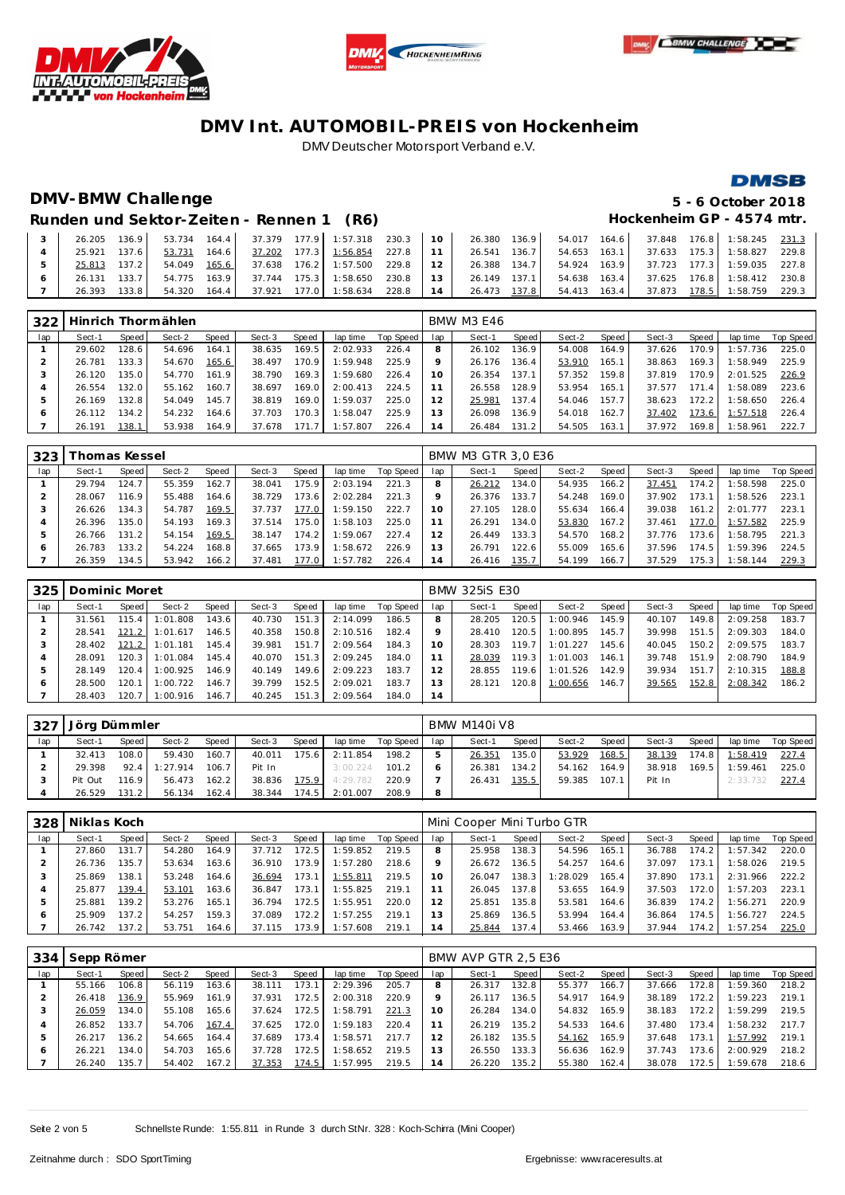





### **DMSB**

# **DMV-BMW Challenge 5 - 6 October 2018**

Runden und Sektor-Zeiten - Rennen 1 (R6) **Hockenheim GP** - 4574 mtr.

|              |       |  |  |  |  |  |  | 26.205 136.9 53.734 164.4 37.379 177.9 1:57.318 230.3 10 26.380 136.9 54.017 164.6 37.848 176.8 1:58.245 231.3 |  |
|--------------|-------|--|--|--|--|--|--|----------------------------------------------------------------------------------------------------------------|--|
| 25.921 137.6 |       |  |  |  |  |  |  | 53.731 164.6 37.202 177.3 1:56.854 227.8 11 26.541 136.7 54.653 163.1 37.633 175.3 1:58.827 229.8              |  |
| 25.813 137.2 |       |  |  |  |  |  |  | 54.049 165.6 37.638 176.2 1:57.500 229.8 12 26.388 134.7 54.924 163.9 37.723 177.3 1:59.035 227.8              |  |
| 26.131 133.7 |       |  |  |  |  |  |  | 54.775 163.9 37.744 175.3 1:58.650 230.8 13 26.149 137.1 54.638 163.4 37.625 176.8 1:58.412 230.8              |  |
| 26.393       | 133.8 |  |  |  |  |  |  | 54.320 164.4 37.921 177.0 1:58.634 228.8 14 26.473 137.8 54.413 163.4 37.873 178.5 1:58.759 229.3              |  |

| 322          |        |         | Hinrich Thormählen |       |        |        |          |           |                | <b>BMW M3 E46</b> |       |        |         |        |       |                |           |
|--------------|--------|---------|--------------------|-------|--------|--------|----------|-----------|----------------|-------------------|-------|--------|---------|--------|-------|----------------|-----------|
| lap          | Sect-1 | Speed I | Sect-2             | Speed | Sect-3 | Speed  | lap time | Top Speed | lap            | Sect-1            | Speed | Sect-2 | Speed I | Sect-3 | Speed | lap time       | Top Speed |
|              | 29.602 | 128.6   | 54.696             | 164.1 | 38.635 | 169.5  | 2:02.933 | 226.4     | 8              | 26.102            | 136.9 | 54.008 | 164.9   | 37.626 | 170.9 | 1:57.736       | 225.0     |
|              | 26.781 | 133.3   | 54.670             | 165.6 | 38.497 | 170.9  | 1:59.948 | 225.9     |                | 26.176            | 136.4 | 53.910 | 165.1   | 38.863 | 169.3 | 1:58.949       | 225.9     |
|              | 26.120 | 135.0   | 54.770             | 161.9 | 38.790 | 169.3  | 1:59.680 | 226.4     | 10             | 26.354            | 137.1 | 57.352 | 159.8   | 37.819 | 170.9 | 2:01.525       | 226.9     |
|              | 26.554 | 132.0   | 55.162             | 160.7 | 38.697 | 169.0  | 2:00.413 | 224.5     |                | 26.558            | 128.9 | 53.954 | 165.1   | 37.577 | 171.4 | 1:58.089       | 223.6     |
|              | 26.169 | 132.8   | 54.049             | 145.7 | 38.819 | 169.0  | 1:59.037 | 225.0     |                | 25.981            | 137.4 | 54.046 | 157.7   | 38.623 | 172.2 | 1:58.650       | 226.4     |
| <sub>6</sub> | 26.112 | 134.2   | 54.232             | 164.6 | 37.703 | 170.31 | 1:58.047 | 225.9     | 13             | 26.098            | 136.9 | 54.018 | 162.7   | 37.402 | 173.6 | 1:57.518       | 226.4     |
|              | 26.191 | 138.1   | 53.938             | 164.9 | 37.678 | 171.7  | 1:57.807 | 226.4     | $\overline{A}$ | 26.484            | 131.2 | 54.505 | 163.1   | 37.972 |       | 169.8 1:58.961 | 222.7     |

| 323 | Thomas Kessel |        |        |        |        |       |          |           |                | BMW M3 GTR 3,0 E36 |                    |        |       |        |       |          |           |
|-----|---------------|--------|--------|--------|--------|-------|----------|-----------|----------------|--------------------|--------------------|--------|-------|--------|-------|----------|-----------|
| lap | Sect-1        | Speed! | Sect-2 | Speed  | Sect-3 | Speed | lap time | Top Speed | lap            | Sect-1             | Speed              | Sect-2 | Speed | Sect-3 | Speed | lap time | Top Speed |
|     | 29.794        | 124.7  | 55.359 | 162.7  | 38.041 | 175.9 | 2:03.194 | 221.3     |                | 26.212             | 134.0              | 54.935 | 166.2 | 37.451 | 174.2 | :58.598  | 225.0     |
|     | 28.067        | 116.9  | 55.488 | 164.6  | 38.729 | 173.6 | 2:02.284 | 221.3     | $\circ$        | 26.376             | 133.7.             | 54.248 | 169.0 | 37.902 | 173.1 | :58.526  | 223.1     |
|     | 26.626        | 134.3  | 54.787 | 169.5  | 37.737 | 177.0 | 1:59.150 | 222.7     | 10             | 27.105             | 128.0              | 55.634 | 166.4 | 39.038 | 161.2 | 2:01.777 | 223.1     |
|     | 26.396        | 135.0  | 54.193 | 169.3. | 37.514 | 175.0 | 1:58.103 | 225.0     |                | 26.291             | 134.0              | 53.830 | 167.2 | 37.461 | 177.0 | 1:57.582 | 225.9     |
| 5   | 26.766        | 131.2  | 54.154 | 169.5  | 38.147 | 174.2 | 1:59.067 | 227.4     | 12             | 26.449             | 133.3 <sub>1</sub> | 54.570 | 168.2 | 37.776 | 173.6 | :58.795  | 221.3     |
| O   | 26.783        | 133.2  | 54.224 | 168.8. | 37.665 | 173.9 | 1:58.672 | 226.9     | 3              | 26.791             | 122.6              | 55.009 | 165.6 | 37.596 | 174.5 | : 59.396 | 224.5     |
|     | 26.359        | 134.5  | 53.942 | 166.2  | 37.481 | 177.0 | 1:57.782 | 226.4     | $\overline{4}$ | 26.416             | 135.7              | 54.199 | 166.7 | 37.529 | 175.3 | : 58.144 | 229.3     |

| 325 | Dominic Moret |                    |          |       |        |       |          |           |                 | <b>BMW 325iS E30</b> |           |          |       |        |       |          |           |
|-----|---------------|--------------------|----------|-------|--------|-------|----------|-----------|-----------------|----------------------|-----------|----------|-------|--------|-------|----------|-----------|
| lap | Sect-1        | Speed              | Sect-2   | Speed | Sect-3 | Speed | lap time | Top Speed | lap             | Sect-1               | Speed     | Sect-2   | Speed | Sect-3 | Speed | lap time | Top Speed |
|     | 31.561        | 115.4              | 1:01.808 | 143.6 | 40.730 | 151.3 | 2:14.099 | 186.5     |                 | 28.205               | $120.5 -$ | 1:00.946 | 145.9 | 40.107 | 149.8 | 2:09.258 | 183.7     |
|     | 28.541        | 121.2              | 1:01.617 | 146.5 | 40.358 | 150.8 | 2:10.516 | 182.4     |                 | 28.410               | 120.5     | 1:00.895 | 145.7 | 39.998 | 151.5 | 2:09.303 | 184.0     |
|     | 28.402        | 121.2              | 1:01.181 | 145.4 | 39.981 | 151.7 | 2:09.564 | 184.3     | 10 <sup>°</sup> | 28.303               | 119.7     | 1:01.227 | 145.6 | 40.045 | 150.2 | 2:09.575 | 183.7     |
|     | 28.091        | 120.3 <sup>1</sup> | 1:01.084 | 145.4 | 40.070 | 151.3 | 2:09.245 | 184.0     |                 | 28.039               | 119.3     | 1:01.003 | 146.1 | 39.748 | 151.9 | 2:08.790 | 184.9     |
|     | 28.149        | $120.4$            | 1:00.925 | 146.9 | 40.149 | 149.6 | 2:09.223 | 183.7     |                 | 28.855               | 119.6     | 1:01.526 | 142.9 | 39.934 | 151.7 | 2:10.315 | 188.8     |
| 6   | 28.500        | 120.1              | 1:00.722 | 146.7 | 39.799 | 152.5 | 2:09.021 | 183.7     |                 | 28.121               | 120.8     | 1:00.656 | 146.7 | 39.565 | 152.8 | 2:08.342 | 186.2     |
|     | 28.403        | 120.7              | 1:00.916 | 146.7 | 40.245 | 151.3 | 2:09.564 | 184.0     | 14              |                      |           |          |       |        |       |          |           |

| 327 | Jörg Dümmler |                    |          |       |        |       |          |           |     | BMW M140i V8 |         |        |       |        |       |          |           |
|-----|--------------|--------------------|----------|-------|--------|-------|----------|-----------|-----|--------------|---------|--------|-------|--------|-------|----------|-----------|
| lap | Sect-1       | Speed I            | Sect-2   | Speed | Sect-3 | Speed | lap time | Top Speed | lap | Sect-1       | Speed I | Sect-2 | Speed | Sect-3 | Speed | lap time | Top Speed |
|     | 32.413       | 108.0              | 59.430   | 160.7 | 40.011 | 175.6 | 2:11.854 | 198.2     |     | 26.351       | 135.0   | 53.929 | 168.5 | 38.139 | 174.8 | 1:58.419 | 227.4     |
|     | 29.398       | 92.4               | 1:27.914 | 106.7 | Pit In |       | 3:00.224 | 101.2     |     | 26.381       | 134.21  | 54.162 | 164.9 | 38.918 | 169.5 | 1:59.461 | 225.0     |
|     | Pit Out      | 116.9 <sub>1</sub> | 56.473   | 162.2 | 38.836 | 175.9 | 4:29.782 | 220.9     |     | 26.431       | 135.5   | 59.385 | 107.1 | Pit In |       | 2:33.732 | 227.4     |
|     | 26.529       | 131.2              | 56.134   | 162.4 | 38.344 | 174.5 | 2:01.007 | 208.9     | 8   |              |         |        |       |        |       |          |           |

| 328 | Niklas Koch |       |        |       |        |       |          |           |                | Mini Cooper Mini Turbo GTR |        |          |       |        |         |          |           |
|-----|-------------|-------|--------|-------|--------|-------|----------|-----------|----------------|----------------------------|--------|----------|-------|--------|---------|----------|-----------|
| lap | Sect-1      | Speed | Sect-2 | Speed | Sect-3 | Speed | lap time | Top Speed | lap            | Sect-1                     | Speed  | Sect-2   | Speed | Sect-3 | Speed ' | lap time | Top Speed |
|     | 27.860      | 131.7 | 54.280 | 164.9 | 37.712 | 172.5 | 1:59.852 | 219.5     |                | 25.958                     | 138.3  | 54.596   | 165.1 | 36.788 | 174.21  | 1:57.342 | 220.0     |
|     | 26.736      | 135.7 | 53.634 | 163.6 | 36.910 | 173.9 | 1:57.280 | 218.6     |                | 26.672                     | 136.5  | 54.257   | 164.6 | 37.097 | 173.1   | 1:58.026 | 219.5     |
|     | 25.869      | 138.1 | 53.248 | 164.6 | 36.694 | 173.1 | 1:55.811 | 219.5     | 10             | 26.047                     | 138.3  | 1:28.029 | 165.4 | 37.890 | 173.7   | 2:31.966 | 222.2     |
|     | 25.877      | 139.4 | 53.101 | 163.6 | 36.847 | 173.1 | 1:55.825 | 219.1     | 1 <sup>1</sup> | 26.045                     | 137.8  | 53.655   | 164.9 | 37.503 | 172.0   | 1:57.203 | 223.1     |
| 5   | 25.881      | 139.2 | 53.276 | 165.1 | 36.794 | 172.5 | 1:55.951 | 220.0     | 12             | 25.851                     | 135.8  | 53.581   | 164.6 | 36.839 | 174.2   | 1:56.271 | 220.9     |
| 6   | 25.909      | 137.2 | 54.257 | 159.3 | 37.089 | 172.2 | 1:57.255 | 219.1     | 13             | 25.869                     | 136.5  | 53.994   | 164.4 | 36.864 | 174.5   | 1:56.727 | 224.5     |
|     | 26.742      | 137.2 | 53.751 | 164.6 | 37.115 | 173.9 | 1:57.608 | 219.1     | 14             | 25.844                     | 137.41 | 53.466   | 163.9 | 37.944 | 174.2   | 1:57.254 | 225.0     |

| 334 | Sepp Römer |       |        |       |        |       |          |           |     | BMW AVP GTR 2.5 E36 |                    |        |       |        |       |          |           |
|-----|------------|-------|--------|-------|--------|-------|----------|-----------|-----|---------------------|--------------------|--------|-------|--------|-------|----------|-----------|
| lap | Sect-1     | Speed | Sect-2 | Speed | Sect-3 | Speed | lap time | Top Speed | lap | Sect-1              | Speed              | Sect-2 | Speed | Sect-3 | Speed | lap time | Top Speed |
|     | 55.166     | 106.8 | 56.119 | 163.6 | 38.111 | 173.1 | 2:29.396 | 205.7     |     | 26.317              | 132.8              | 55.377 | 166.7 | 37.666 | 172.8 | 1:59.360 | 218.2     |
|     | 26.418     | 136.9 | 55.969 | 161.9 | 37.931 | 172.5 | 2:00.318 | 220.9     |     | 26.117              | 136.5 <sub>1</sub> | 54.917 | 164.9 | 38.189 | 172.2 | 1:59.223 | 219.1     |
|     | 26.059     | 134.0 | 55.108 | 165.6 | 37.624 | 172.5 | 1:58.791 | 221.3     | 10  | 26.284              | 134.0              | 54.832 | 165.9 | 38.183 | 172.2 | 1:59.299 | 219.5     |
| 4   | 26.852     | 133.7 | 54.706 | 167.4 | 37.625 | 172.0 | 1:59.183 | 220.4     | 11  | 26.219              | 135.2              | 54.533 | 164.6 | 37.480 | 173.4 | 1:58.232 | 217.7     |
| 5   | 26.217     | 136.2 | 54.665 | 164.4 | 37.689 | 173.4 | 1:58.571 | 217.7     |     | 26.182              | 135.5              | 54.162 | 165.9 | 37.648 | 173.1 | 1:57.992 | 219.1     |
| 6   | 26.221     | 134.0 | 54.703 | 165.6 | 37.728 | 172.5 | 1:58.652 | 219.5     | 13  | 26.550              | 133.3              | 56.636 | 162.9 | 37.743 | 173.6 | 2:00.929 | 218.2     |
|     | 26.240     | 135.7 | 54.402 | 167.2 | 37.353 | 174.5 | 1:57.995 | 219.5     | 14  | 26.220              | 135.2              | 55.380 | 162.4 | 38.078 | 172.5 | 1:59.678 | 218.6     |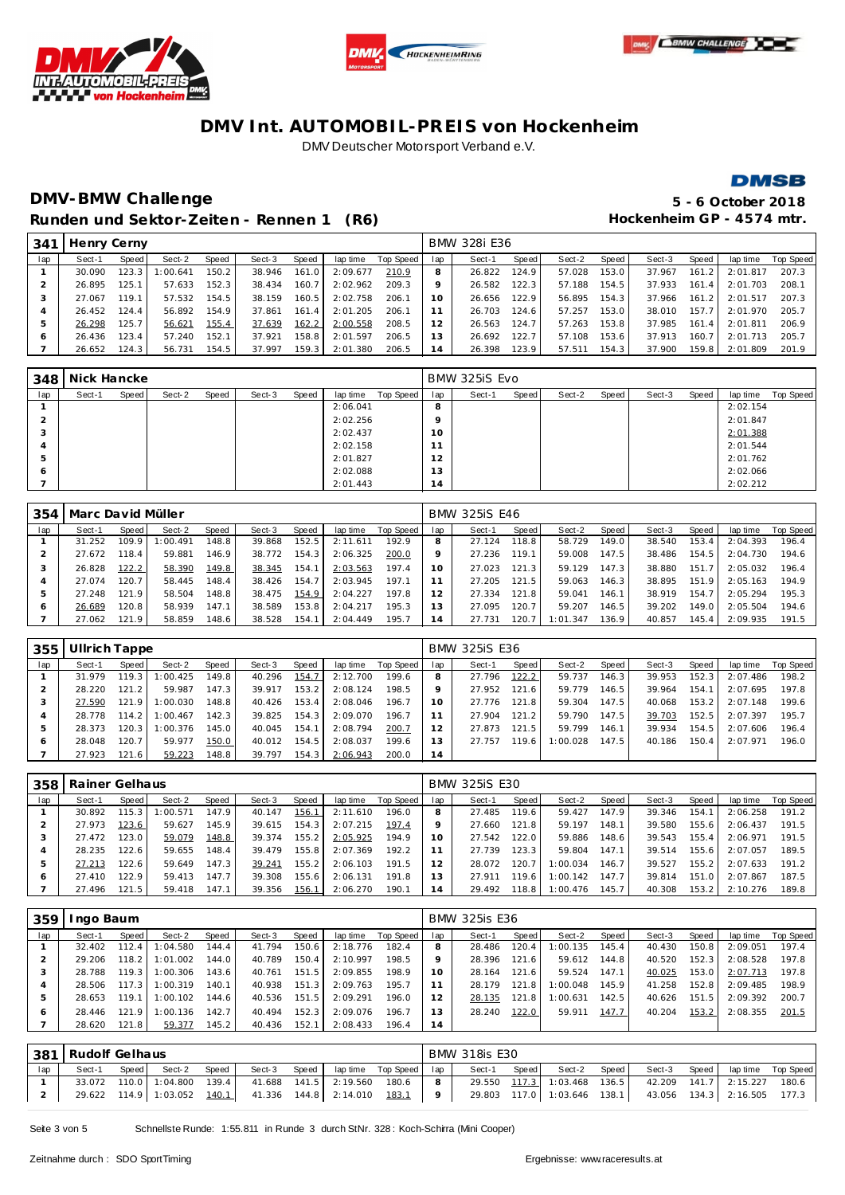







## **DMV-BMW Challenge 5 - 6 October 2018** Runden und Sektor-Zeiten - Rennen 1 (R6) **Hockenheim GP** - 4574 mtr.

| 341 | Henry Cerny |         |          |       |        |       |          |           |                | BMW 328i E36 |                    |        |       |        |       |          |           |
|-----|-------------|---------|----------|-------|--------|-------|----------|-----------|----------------|--------------|--------------------|--------|-------|--------|-------|----------|-----------|
| lap | Sect-1      | Speed   | Sect-2   | Speed | Sect-3 | Speed | lap time | Top Speed | lap            | Sect-1       | Speed              | Sect-2 | Speed | Sect-3 | Speed | lap time | Top Speed |
|     | 30.090      | 123.3   | 1:00.641 | 150.2 | 38.946 | 161.0 | 2:09.677 | 210.9     |                | 26.822       | 124.9 <sub>1</sub> | 57.028 | 153.0 | 37.967 | 161.2 | 2:01.817 | 207.3     |
|     | 26.895      | 125.1   | 57.633   | 152.3 | 38.434 | 160.7 | 2:02.962 | 209.3     |                | 26.582       | 122.3              | 57.188 | 154.5 | 37.933 | 161.4 | 2:01.703 | 208.1     |
|     | 27.067      | 119.1   | 57.532   | 154.5 | 38.159 | 160.5 | 2:02.758 | 206.1     | 10             | 26.656       | 122.9              | 56.895 | 154.3 | 37.966 | 161.2 | 2:01.517 | 207.3     |
|     | 26.452      | 124.4   | 56.892   | 154.9 | 37.861 | 161.4 | 2:01.205 | 206.1     |                | 26.703       | 124.6              | 57.257 | 153.0 | 38.010 | 157.7 | 2:01.970 | 205.7     |
| 5   | 26.298      | 125.7   | 56.621   | 155.4 | 37.639 | 162.2 | 2:00.558 | 208.5     |                | 26.563       | 124.7              | 57.263 | 153.8 | 37.985 | 161.4 | 2:01.811 | 206.9     |
| O   | 26.436      | 123.4   | 57.240   | 152.1 | 37.921 | 158.8 | 2:01.597 | 206.5     | 3              | 26.692       | 122.7              | 57.108 | 153.6 | 37.913 | 160.7 | 2:01.713 | 205.7     |
|     | 26.652      | 124.3 l | 56.731   | 154.5 | 37.997 | 159.3 | 2:01.380 | 206.5     | $\overline{4}$ | 26.398       | 123.9              | 57.511 | 154.3 | 37.900 | 159.8 | 2:01.809 | 201.9     |

|     | 348 Nick Hancke |       |        |       |        |       |          |           |                      | BMW 325iS Evo |       |        |       |        |       |          |           |
|-----|-----------------|-------|--------|-------|--------|-------|----------|-----------|----------------------|---------------|-------|--------|-------|--------|-------|----------|-----------|
| lap | Sect-1          | Speed | Sect-2 | Speed | Sect-3 | Speed | lap time | Top Speed | lap                  | Sect-1        | Speed | Sect-2 | Speed | Sect-3 | Speed | lap time | Top Speed |
|     |                 |       |        |       |        |       | 2:06.041 |           | 8                    |               |       |        |       |        |       | 2:02.154 |           |
|     |                 |       |        |       |        |       | 2:02.256 |           | $\circ$              |               |       |        |       |        |       | 2:01.847 |           |
| 3   |                 |       |        |       |        |       | 2:02.437 |           | 10                   |               |       |        |       |        |       | 2:01.388 |           |
|     |                 |       |        |       |        |       | 2:02.158 |           | $\mathbf{A}$         |               |       |        |       |        |       | 2:01.544 |           |
| 5   |                 |       |        |       |        |       | 2:01.827 |           | 12                   |               |       |        |       |        |       | 2:01.762 |           |
| 6   |                 |       |        |       |        |       | 2:02.088 |           | 13                   |               |       |        |       |        |       | 2:02.066 |           |
|     |                 |       |        |       |        |       | 2:01.443 |           | $\overline{ }$<br>14 |               |       |        |       |        |       | 2:02.212 |           |

| 354 | Marc David Müller |       |         |       |        |       |          |           |     | <b>BMW 325iS E46</b> |       |          |       |        |       |          |           |
|-----|-------------------|-------|---------|-------|--------|-------|----------|-----------|-----|----------------------|-------|----------|-------|--------|-------|----------|-----------|
| lap | Sect-1            | Speed | Sect-2  | Speed | Sect-3 | Speed | lap time | Top Speed | lap | Sect-1               | Speed | Sect-2   | Speed | Sect-3 | Speed | lap time | Top Speed |
|     | 31.252            | 109.9 | :00.491 | 148.8 | 39.868 | 152.5 | 2:11.611 | 192.9     |     | 27.124               | 118.8 | 58.729   | 149.0 | 38.540 | 153.4 | 2:04.393 | 196.4     |
|     | 27.672            | 18.4  | 59.881  | 146.9 | 38.772 | 154.3 | 2:06.325 | 200.0     |     | 27.236               | 119.1 | 59.008   | 147.5 | 38.486 | 154.5 | 2:04.730 | 194.6     |
|     | 26.828            | 122.2 | 58.390  | 149.8 | 38.345 | 154.1 | 2:03.563 | 197.4     |     | 27.023               | 121.3 | 59.129   | 147.3 | 38.880 | 151.7 | 2:05.032 | 196.4     |
|     | 27.074            | 120.7 | 58.445  | 148.4 | 38.426 | 154.7 | 2:03.945 | 197.1     |     | 27.205               | 121.5 | 59.063   | 146.3 | 38.895 | 151.9 | 2:05.163 | 194.9     |
| ь   | 27.248            | 121.9 | 58.504  | 148.8 | 38.475 | 154.9 | 2:04.227 | 197.8     |     | 27.334               | 121.8 | 59.041   | 146.1 | 38.919 | 154.7 | 2:05.294 | 195.3     |
| 6   | 26.689            | 120.8 | 58.939  | 147.1 | 38.589 | 153.8 | 2:04.217 | 195.3     |     | 27.095               | 120.7 | 59.207   | 146.5 | 39.202 | 149.0 | 2:05.504 | 194.6     |
|     | 27.062            | 121.9 | 58.859  | 148.6 | 38.528 | 154.1 | 2:04.449 | 195.7     | 4   | 27.731               | 120.7 | 1:01.347 | 136.9 | 40.857 | 145.4 | 2:09.935 | 191.5     |

| 355 | Ullrich Tappe |         |          |       |        |       |          |           |     | <b>BMW 325iS E36</b> |       |          |         |        |       |          |           |
|-----|---------------|---------|----------|-------|--------|-------|----------|-----------|-----|----------------------|-------|----------|---------|--------|-------|----------|-----------|
| lap | Sect-1        | Speed I | Sect-2   | Speed | Sect-3 | Speed | lap time | Top Speed | lap | Sect-1               | Speed | Sect-2   | Speed I | Sect-3 | Speed | lap time | Top Speed |
|     | 31.979        | 119.3   | :00.425  | 149.8 | 40.296 | 154.7 | 2:12.700 | 199.6     |     | 27.796               | 122.2 | 59.737   | 146.3   | 39.953 | 152.3 | 2:07.486 | 198.2     |
|     | 28.220        | 121.2   | 59.987   | 147.3 | 39.917 | 153.2 | 2:08.124 | 198.5     |     | 27.952               | 121.6 | 59.779   | 146.5 I | 39.964 | 154.1 | 2:07.695 | 197.8     |
|     | 27.590        | 121.9   | :00.030  | 148.8 | 40.426 | 153.4 | 2:08.046 | 196.7     | 10  | 27.776               | 121.8 | 59.304   | 147.5   | 40.068 | 153.2 | 2:07.148 | 199.6     |
|     | 28.778        | 114.2   | 1:00.467 | 142.3 | 39.825 | 154.3 | 2:09.070 | 196.7     |     | 27.904               | 121.2 | 59.790   | 147.5   | 39.703 | 152.5 | 2:07.397 | 195.7     |
| ь   | 28.373        | 120.3   | :00.376  | 145.0 | 40.045 | 154.1 | 2:08.794 | 200.7     |     | 27.873               | 121.5 | 59.799   | 146.11  | 39.934 | 154.5 | 2:07.606 | 196.4     |
| O   | 28.048        | 120.7   | 59.977   | 150.0 | 40.012 | 154.5 | 2:08.037 | 199.6     | 3   | 27.757               | 119.6 | 1:00.028 | 147.5   | 40.186 | 150.4 | 2:07.971 | 196.0     |
|     | 27.923        | 121.6   | 59.223   | 148.8 | 39.797 | 154.3 | 2:06.943 | 200.0     | 14  |                      |       |          |         |        |       |          |           |

| 358 | Rainer Gelhaus |         |          |       |        |       |          |           |                | <b>BMW 325iS E30</b> |       |          |                    |        |       |          |           |
|-----|----------------|---------|----------|-------|--------|-------|----------|-----------|----------------|----------------------|-------|----------|--------------------|--------|-------|----------|-----------|
| lap | Sect-1         | Speed I | Sect-2   | Speed | Sect-3 | Speed | lap time | Top Speed | lap            | Sect-1               | Speed | Sect-2   | Speed              | Sect-3 | Speed | lap time | Top Speed |
|     | 30.892         | 115.3   | : 00.571 | 147.9 | 40.147 | 156.1 | 2:11.610 | 196.0     | 8              | 27.485               | 119.6 | 59.427   | 147.9              | 39.346 | 154.1 | 2:06.258 | 191.2     |
|     | 27.973         | 123.6   | 59.627   | 145.9 | 39.615 | 154.3 | 2:07.215 | 197.4     |                | 27.660               | 121.8 | 59.197   | 148.1              | 39.580 | 155.6 | 2:06.437 | 191.5     |
|     | 27.472         | 123.0   | 59.079   | 148.8 | 39.374 | 155.2 | 2:05.925 | 194.9     | 10             | 27.542               | 122.0 | 59.886   | 148.6              | 39.543 | 155.4 | 2:06.971 | 191.5     |
|     | 28.235         | 122.6   | 59.655   | 148.4 | 39.479 | 155.8 | 2:07.369 | 192.2     |                | 27.739               | 123.3 | 59.804   | 147.1              | 39.514 | 155.6 | 2:07.057 | 189.5     |
| ь   | 27.213         | 122.6   | 59.649   | 147.3 | 39.241 | 155.2 | 2:06.103 | 191.5     | 12             | 28.072               | 120.7 | 1:00.034 | 146.71             | 39.527 | 155.2 | 2:07.633 | 191.2     |
| ō   | 27.410         | 122.9   | 59.413   | 147.7 | 39.308 | 155.6 | 2:06.131 | 191.8     | 13             | 27.911               | 119.6 | 1:00.142 | 147.7              | 39.814 | 151.0 | 2:07.867 | 187.5     |
|     | 27.496         | 121.5   | 59.418   | 147.1 | 39.356 | 156.1 | 2:06.270 | 190.1     | $\overline{4}$ | 29.492               | 118.8 | 1:00.476 | 145.7 <sub>1</sub> | 40.308 | 153.2 | 2:10.276 | 189.8     |

| 359 | ngo Baum |        |          |       |        |       |          |           |     | <b>BMW 325is E36</b> |       |          |       |        |       |          |           |
|-----|----------|--------|----------|-------|--------|-------|----------|-----------|-----|----------------------|-------|----------|-------|--------|-------|----------|-----------|
| lap | Sect-1   | Speed  | Sect-2   | Speed | Sect-3 | Speed | lap time | Top Speed | lap | Sect-1               | Speed | Sect-2   | Speed | Sect-3 | Speed | lap time | Top Speed |
|     | 32.402   | 112.4  | I:04.580 | 144.4 | 41.794 | 150.6 | 2:18.776 | 182.4     | 8   | 28.486               | 120.4 | 1:00.135 | 145.4 | 40.430 | 150.8 | 2:09.051 | 197.4     |
|     | 29.206   | 118.2  | 1:01.002 | 144.0 | 40.789 | 150.4 | 2:10.997 | 198.5     |     | 28.396               | 121.6 | 59.612   | 144.8 | 40.520 | 152.3 | 2:08.528 | 197.8     |
| 3   | 28.788   | 119.3  | 1:00.306 | 143.6 | 40.761 | 151.5 | 2:09.855 | 198.9     | 10  | 28.164               | 121.6 | 59.524   | 147.1 | 40.025 | 153.0 | 2:07.713 | 197.8     |
|     | 28.506   | 117.3  | 1:00.319 | 140.1 | 40.938 | 151.3 | 2:09.763 | 195.7     |     | 28.179               | 121.8 | 1:00.048 | 145.9 | 41.258 | 152.8 | 2:09.485 | 198.9     |
| 5   | 28.653   | 119.1  | 1:00.102 | 144.6 | 40.536 | 151.5 | 2:09.291 | 196.0     | 12  | 28.135               | 121.8 | 1:00.631 | 142.5 | 40.626 | 151.5 | 2:09.392 | 200.7     |
| O   | 28.446   | 121.91 | 1:00.136 | 142.7 | 40.494 | 152.3 | 2:09.076 | 196.7     | 13  | 28.240               | 122.0 | 59.911   | 147.7 | 40.204 | 153.2 | 2:08.355 | 201.5     |
|     | 28.620   | 121.8  | 59.377   | 145.2 | 40.436 | 152.1 | 2:08.433 | 196.4     | 14  |                      |       |          |       |        |       |          |           |

|     | 381 Rudolf Gelhaus                                                             |  |                                                         |  |  |  |  |  |                | <b>BMW 318is E30</b> |                             |       |                                                         |                             |  |
|-----|--------------------------------------------------------------------------------|--|---------------------------------------------------------|--|--|--|--|--|----------------|----------------------|-----------------------------|-------|---------------------------------------------------------|-----------------------------|--|
| lap | laptime Top Speed lap<br>Speed<br>Speed<br>Speed<br>Sect-2<br>Sect-3<br>Sect-1 |  |                                                         |  |  |  |  |  |                | Sect-1 Speed         | Sect-2                      | Speed | Sect-3                                                  | Speed lap time Top Speed    |  |
|     | 33.072 110.0 1:04.800 139.4<br>41.688  141.5  2:19.560  180.6                  |  |                                                         |  |  |  |  |  | $\mathbf{R}$   |                      |                             |       | 29.550 117.3 1:03.468 136.5 42.209 141.7 2:15.227 180.6 |                             |  |
|     |                                                                                |  | 29.622 114.9 1:03.052 140.1 41.336 144.8 2:14.010 183.1 |  |  |  |  |  | 9 <sup>1</sup> |                      | 29.803 117.0 1:03.646 138.1 |       |                                                         | 43.056 134.3 2:16.505 177.3 |  |

Seite 3 von 5 Schnellste Runde: 1:55.811 in Runde 3 durch StNr. 328: Koch-Schirra (Mini Cooper)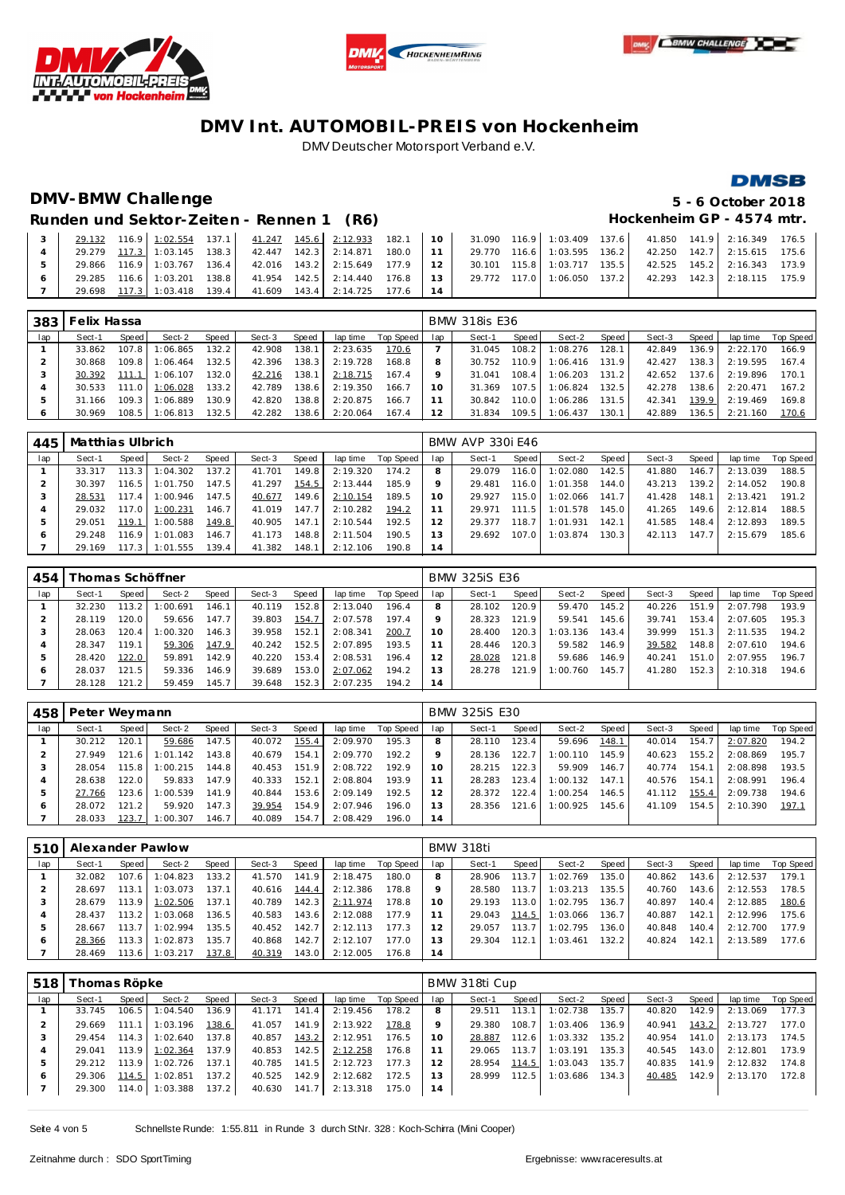





### **DMSB**

# **DMV-BMW Challenge 5 - 6 October 2018**

Runden und Sektor-Zeiten - Rennen 1 (R6) **Hockenheim GP** - 4574 mtr.

|  |  |  |                                                            |  |  |  |  | 29.132 116.9 1:02.554 137.1 41.247 145.6 2:12.933 182.1 10 31.090 116.9 1:03.409 137.6 41.850 141.9 2:16.349 176.5 |  |
|--|--|--|------------------------------------------------------------|--|--|--|--|--------------------------------------------------------------------------------------------------------------------|--|
|  |  |  |                                                            |  |  |  |  | 29.279 117.3 1:03.145 138.3 42.447 142.3 2:14.871 180.0 11 29.770 116.6 1:03.595 136.2 42.250 142.7 2:15.615 175.6 |  |
|  |  |  |                                                            |  |  |  |  | 29.866 116.9 1:03.767 136.4 42.016 143.2 2:15.649 177.9 12 30.101 115.8 1:03.717 135.5 42.525 145.2 2:16.343 173.9 |  |
|  |  |  |                                                            |  |  |  |  | 29.285 116.6 1:03.201 138.8 41.954 142.5 2:14.440 176.8 13 29.772 117.0 1:06.050 137.2 42.293 142.3 2:18.115 175.9 |  |
|  |  |  | 29.698 117.3 1:03.418 139.4 41.609 143.4 2:14.725 177.6 14 |  |  |  |  |                                                                                                                    |  |

| 383 | Felix Hassa |       |          |       |        |       |          |           |     | <b>BMW 318is E36</b> |       |          |       |        |                    |          |           |
|-----|-------------|-------|----------|-------|--------|-------|----------|-----------|-----|----------------------|-------|----------|-------|--------|--------------------|----------|-----------|
| lap | Sect-1      | Speed | Sect-2   | Speed | Sect-3 | Speed | lap time | Top Speed | lap | Sect-1               | Speed | Sect-2   | Speed | Sect-3 | Speed              | lap time | Top Speed |
|     | 33.862      | 107.8 | 1:06.865 | 132.2 | 42.908 | 138.1 | 2:23.635 | 170.6     |     | 31.045               | 108.2 | 1:08.276 | 128.1 | 42.849 | 136.9              | 2:22.170 | 166.9     |
|     | 30.868      | 109.8 | 1:06.464 | 32.5  | 42.396 | 138.3 | 2:19.728 | 168.8     | 8   | 30.752               | 110.9 | 1:06.416 | 131.9 | 42.427 | 138.3              | 2:19.595 | 167.4     |
|     | 30.392      | 111.1 | 1:06.107 | 132.0 | 42.216 | 138.1 | 2:18.715 | 167.4     | Q   | 31.041               | 108.4 | 1:06.203 | 131.2 | 42.652 | 137.6              | 2:19.896 | 170.1     |
|     | 30.533      | 111.0 | 1:06.028 | 133.2 | 42.789 | 138.6 | 2:19.350 | 166.7     | 10  | 31.369               | 107.5 | 1:06.824 | 132.5 | 42.278 | 138.6 <sub>1</sub> | 2:20.471 | 167.2     |
| 5   | 31.166      | 109.3 | 1:06.889 | 130.9 | 42.820 | 138.8 | 2:20.875 | 166.7     |     | 30.842               | 110.0 | 1:06.286 | 131.5 | 42.341 | 139.9              | 2:19.469 | 169.8     |
| O   | 30.969      | 108.5 | 1:06.813 | 132.5 | 42.282 | 138.6 | 2:20.064 | 167.4     |     | 31.834               | 109.5 | 1:06.437 | 130.1 | 42.889 | 136.5              | 2:21.160 | 170.6     |

| 445 | Matthias Ulbrich |       |                |       |        |       |          |                    |                 | <b>BMW AVP 330i E46</b> |       |                  |       |        |       |          |           |
|-----|------------------|-------|----------------|-------|--------|-------|----------|--------------------|-----------------|-------------------------|-------|------------------|-------|--------|-------|----------|-----------|
| lap | Sect-1           | Speed | Sect-2         | Speed | Sect-3 | Speed |          | lap time Top Speed | lap             | Sect-1                  | Speed | Sect-2           | Speed | Sect-3 | Speed | lap time | Top Speed |
|     | 33.317           | 113.3 | 1:04.302       | 137.2 | 41.701 | 149.8 | 2:19.320 | 174.2              | 8               | 29.079                  | 116.0 | 1:02.080         | 142.5 | 41.880 | 146.7 | 2:13.039 | 188.5     |
|     | 30.397           |       | 116.5 1:01.750 | 147.5 | 41.297 | 154.5 | 2:13.444 | 185.9              | 9               | 29.481                  | 116.0 | 1:01.358         | 144.0 | 43.213 | 139.2 | 2:14.052 | 190.8     |
|     | 28.531           | 117.4 | 1:00.946       | 147.5 | 40.677 | 149.6 | 2:10.154 | 189.5              | 10              | 29.927                  | 115.0 | $1:02.066$ 141.7 |       | 41.428 | 148.1 | 2:13.421 | 191.2     |
|     | 29.032           | 117.0 | 1:00.231       | 146.7 | 41.019 | 147.7 | 2:10.282 | 194.2              |                 | 29.971                  | 111.5 | 1:01.578         | 145.0 | 41.265 | 149.6 | 2:12.814 | 188.5     |
| 5   | 29.051           | 119.1 | 1:00.588       | 149.8 | 40.905 | 147.1 | 2:10.544 | 192.5              | 12              | 29.377                  | 118.7 | 1:01.931         | 142.1 | 41.585 | 148.4 | 2:12.893 | 189.5     |
|     | 29.248           | 116.9 | 1:01.083       | 146.7 | 41.173 | 148.8 | 2:11.504 | 190.5              | 13 <sup>7</sup> | 29.692                  | 107.0 | 1:03.874         | 130.3 | 42.113 | 147.7 | 2:15.679 | 185.6     |
|     | 29.169           | 117.3 | 1:01.555       | 139.4 | 41.382 | 148.1 | 2:12.106 | 190.8              | 14              |                         |       |                  |       |        |       |          |           |

| 454 |        | homas Schöffner |          |       |        | <b>BMW 325iS E36</b> |          |           |     |        |       |          |       |        |       |          |                  |
|-----|--------|-----------------|----------|-------|--------|----------------------|----------|-----------|-----|--------|-------|----------|-------|--------|-------|----------|------------------|
| lap | Sect-1 | Speed           | Sect-2   | Speed | Sect-3 | Speed                | lap time | Top Speed | lap | Sect-1 | Speed | Sect-2   | Speed | Sect-3 | Speed | lap time | <b>Top Speed</b> |
|     | 32.230 | 13.2            | :00.691  | 146.1 | 40.119 | 152.8                | 2:13.040 | 196.4     |     | 28.102 | 120.9 | 59.470   | 145.2 | 40.226 | 151.9 | 2:07.798 | 193.9            |
|     | 28.119 | 120.0           | 59.656   | 147.7 | 39.803 | 154.7                | 2:07.578 | 197.4     |     | 28.323 | 121.9 | 59.541   | 145.6 | 39.741 | 153.4 | 2:07.605 | 195.3            |
|     | 28.063 | 120.4           | : 00.320 | 146.3 | 39.958 | 152.1                | 2:08.341 | 200.7     | 10  | 28.400 | 120.3 | 1:03.136 | 143.4 | 39.999 | 151.3 | 2:11.535 | 194.2            |
| 4   | 28.347 | 119.1           | 59.306   | 147.9 | 40.242 | 152.5                | 2:07.895 | 193.5     |     | 28.446 | 120.3 | 59.582   | 146.9 | 39.582 | 148.8 | 2:07.610 | 194.6            |
| ь   | 28.420 | 122.0           | 59.891   | 142.9 | 40.220 | 153.4                | 2:08.531 | 196.4     | 12  | 28.028 | 121.8 | 59.686   | 146.9 | 40.241 | 151.0 | 2:07.955 | 196.7            |
| O   | 28.037 | 121.5           | 59.336   | 146.9 | 39.689 | 153.0                | 2:07.062 | 194.2     | 13  | 28.278 | 121.9 | 1:00.760 | 145.7 | 41.280 | 152.3 | 2:10.318 | 194.6            |
|     | 28.128 | 121.2           | 59.459   | 145.7 | 39.648 | 152.3                | 2:07.235 | 194.2     | 14  |        |       |          |       |        |       |          |                  |

| 458 | Peter Weymann |         |          |       |        |       |          |           | <b>BMW 325iS E30</b> |        |       |          |       |        |       |          |           |  |
|-----|---------------|---------|----------|-------|--------|-------|----------|-----------|----------------------|--------|-------|----------|-------|--------|-------|----------|-----------|--|
| lap | Sect-1        | Speed I | Sect-2   | Speed | Sect-3 | Speed | lap time | Top Speed | lap                  | Sect-1 | Speed | Sect-2   | Speed | Sect-3 | Speed | lap time | Top Speed |  |
|     | 30.212        | 120.1   | 59.686   | 147.5 | 40.072 | 155.4 | 2:09.970 | 195.3     | 8                    | 28.110 | 123.4 | 59.696   | 148.1 | 40.014 | 154.7 | 2:07.820 | 194.2     |  |
|     | 27.949        | 121.6   | 1:01.142 | 143.8 | 40.679 | 154.1 | 2:09.770 | 192.2     |                      | 28.136 | 122.7 | 1:00.110 | 145.9 | 40.623 | 155.2 | 2:08.869 | 195.7     |  |
|     | 28.054        | 115.8   | 1:00.215 | 144.8 | 40.453 | 151.9 | 2:08.722 | 192.9     | 10                   | 28.215 | 122.3 | 59.909   | 146.7 | 40.774 | 154.1 | 2:08.898 | 193.5     |  |
|     | 28.638        | 122.0   | 59.833   | 147.9 | 40.333 | 152.1 | 2:08.804 | 193.9     |                      | 28.283 | 123.4 | 1:00.132 | 147.1 | 40.576 | 154.1 | 2:08.991 | 196.4     |  |
|     | 27.766        | 123.6 l | 1:00.539 | 141.9 | 40.844 | 153.6 | 2:09.149 | 192.5     | 12                   | 28.372 | 122.4 | 1:00.254 | 146.5 | 41.112 | 155.4 | 2:09.738 | 194.6     |  |
| O   | 28.072        | 121.2   | 59.920   | 147.3 | 39.954 | 154.9 | 2:07.946 | 196.0     | 3                    | 28.356 | 121.6 | 1:00.925 | 145.6 | 41.109 | 154.5 | 2:10.390 | 197.1     |  |
|     | 28.033        | 123.7   | 1:00.307 | 146.7 | 40.089 | 154.7 | 2:08.429 | 196.0     | 14                   |        |       |          |       |        |       |          |           |  |

| 510 | Alexander Pawlow |         |                |       |        |       |          |           |     | BMW 318ti |       |          |       |        |       |          |           |  |  |  |
|-----|------------------|---------|----------------|-------|--------|-------|----------|-----------|-----|-----------|-------|----------|-------|--------|-------|----------|-----------|--|--|--|
| lap | Sect-1           | Speed   | Sect-2         | Speed | Sect-3 | Speed | lap time | Top Speed | lap | Sect-1    | Speed | Sect-2   | Speed | Sect-3 | Speed | lap time | Top Speed |  |  |  |
|     | 32.082           | 107.6   | 1:04.823       | 133.2 | 41.570 | 141.9 | 2:18.475 | 180.0     |     | 28.906    | 113.7 | 1:02.769 | 135.0 | 40.862 | 143.6 | 2:12.537 | 179.1     |  |  |  |
|     | 28.697           | 113.1 I | 1:03.073       | 137.1 | 40.616 | 144.4 | 2:12.386 | 178.8     |     | 28.580    | 113.7 | 1:03.213 | 135.5 | 40.760 | 143.6 | 2:12.553 | 178.5     |  |  |  |
|     | 28.679           |         | 113.9 1:02.506 | 137.1 | 40.789 | 142.3 | 2:11.974 | 178.8     | 10  | 29.193    | 113.0 | 1:02.795 | 136.7 | 40.897 | 140.4 | 2:12.885 | 180.6     |  |  |  |
|     | 28.437           | 113.2   | 1:03.068       | 136.5 | 40.583 | 143.6 | 2:12.088 | 177.9     |     | 29.043    | 114.5 | 1:03.066 | 136.7 | 40.887 | 142.1 | 2:12.996 | 175.6     |  |  |  |
|     | 28.667           | 113.7   | 1:02.994       | 135.5 | 40.452 | 142.7 | 2:12.113 | 177.3     |     | 29.057    | 113.7 | 1:02.795 | 136.0 | 40.848 | 140.4 | 2:12.700 | 177.9     |  |  |  |
| Ô   | 28.366           | 113.3 I | 1:02.873       | 135.7 | 40.868 | 142.7 | 2:12.107 | 177.0     | 13  | 29.304    | 112.1 | 1:03.461 | 132.2 | 40.824 | 142.1 | 2:13.589 | 177.6     |  |  |  |
|     | 28.469           | 113.6 l | 1:03.217       | 137.8 | 40.319 | 143.0 | 2:12.005 | 176.8     | l 4 |           |       |          |       |        |       |          |           |  |  |  |

| 518 | ī homas Röpke |       |                  |       |        | BMW 318ti Cup |          |           |     |        |       |          |       |        |         |          |           |
|-----|---------------|-------|------------------|-------|--------|---------------|----------|-----------|-----|--------|-------|----------|-------|--------|---------|----------|-----------|
| lap | Sect-1        | Speed | Sect-2           | Speed | Sect-3 | Speed         | lap time | Top Speed | lap | Sect-1 | Speed | Sect-2   | Speed | Sect-3 | Speed ' | lap time | Top Speed |
|     | 33.745        | 106.5 | 1:04.540         | 136.9 | 41.171 | 141.4         | 2:19.456 | 178.2     |     | 29.511 | 113.1 | 1:02.738 | 135.7 | 40.820 | 142.9   | 2:13.069 | 177.3     |
|     | 29.669        | 111.1 | 1:03.196         | 138.6 | 41.057 | 141.9         | 2:13.922 | 178.8     |     | 29.380 | 108.7 | 1:03.406 | 136.9 | 40.941 | 143.2   | 2:13.727 | 177.0     |
|     | 29.454        | 114.3 | 1:02.640         | 137.8 | 40.857 | 143.2         | 2:12.951 | 176.5     |     | 28.887 | 112.6 | 1:03.332 | 135.2 | 40.954 | 141.0   | 2:13.173 | 174.5     |
| 4   | 29.041        |       | $113.9$ 1:02.364 | 137.9 | 40.853 | 142.5         | 2:12.258 | 176.8     |     | 29.065 | 113.7 | 1:03.191 | 135.3 | 40.545 | 143.0   | 2:12.801 | 173.9     |
| 5   | 29.212        | 113.9 | 1:02.726         | 137.1 | 40.785 | 141.5         | 2:12.723 | 177.3     |     | 28.954 | 114.5 | 1:03.043 | 135.7 | 40.835 | 141.9   | 2:12.832 | 174.8     |
| O   | 29.306        | 114.5 | 1:02.851         | 137.2 | 40.525 | 142.9         | 2:12.682 | 172.5     | 3   | 28.999 | 112.5 | 1:03.686 | 134.3 | 40.485 | 142.9   | 2:13.170 | 172.8     |
|     | 29.300        | 114.0 | 1:03.388         | 137.2 | 40.630 | 141.7         | 2:13.318 | 175.0     | 14  |        |       |          |       |        |         |          |           |